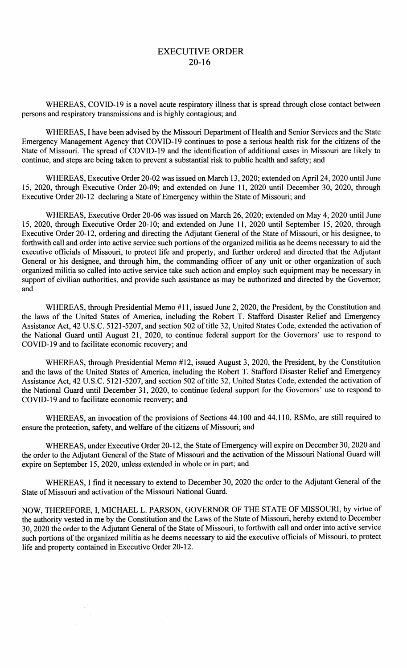## EXECUTIVE ORDER 20-16

WHEREAS, COVID-19 is a novel acute respiratory illness that is spread through close contact between persons and respiratory transmissions and is highly contagious; and

WHEREAS, I have been advised by the Missouri Department of Health and Senior Services and the State Emergency Management Agency that COVID-19 continues to pose a serious health risk for the citizens of the State of Missouri. The spread of COVID-19 and the identification of additional cases in Missouri are likely to continue, and steps are being taken to prevent a substantial risk to public health and safety; and

WHEREAS, Executive Order 20-02 was issued on March 13, 2020; extended on April 24, 2020 until June 15, 2020, through Executive Order 20-09; and extended on June 11, 2020 until December 30, 2020, through Executive Order 20-12 declaring a State of Emergency within the State of Missouri; and

WHEREAS, Executive Order 20-06 was issued on March 26, 2020; extended on May 4, 2020 until June 15, 2020, through Executive Order 20-10; and extended on June 11, 2020 until September 15, 2020, through Executive Order 20-12, ordering and directing the Adjutant General of the State of Missouri, or his designee, to forthwith call and order into active service such portions of the organized militia as he deems necessary to aid the executive officials of Missouri, to protect life and property, and further ordered and directed that the Adjutant General or his designee, and through him, the commanding officer of any unit or other organization of such organized militia so called into active service take such action and employ such equipment may be necessary in support of civilian authorities, and provide such assistance as may be authorized and directed by the Governor; and

WHEREAS, through Presidential Memo #11, issued June 2, 2020, the President, by the Constitution and the laws of the United States of America, including the Robert T. Stafford Disaster Relief and Emergency Assistance Act, 42 U.S.C. 5121-5207, and section 502 of title 32, United States Code, extended the activation of the National Guard until August 21, 2020, to continue federal support for the Governors' use to respond to COVID-19 and to facilitate economic recovery; and

WHEREAS, through Presidential Memo #12, issued August 3, 2020, the President, by the Constitution and the laws of the United States of America, including the Robert T. Stafford Disaster Relief and Emergency Assistance Act, 42 U.S.C. 5121-5207, and section 502 of title 32, United States Code, extended the activation of the National Guard until December 31, 2020, to continue federal support for the Governors' use to respond to COVID-19 and to facilitate economic recovery; and

WHEREAS, an invocation of the provisions of Sections 44.100 and 44.110, RSMo, are still required to ensure the protection, safety, and welfare of the citizens of Missouri; and

WHEREAS, under Executive Order 20-12, the State of Emergency will expire on December 30, 2020 and the order to the Adjutant General of the State of Missouri and the activation of the Missouri National Guard will expire on September 15, 2020, unless extended in whole or in part; and

WHEREAS, I find it necessary to extend to December 30, 2020 the order to the Adjutant General of the State of Missouri and activation of the Missouri National Guard.

NOW, THEREFORE, I, MICHAEL L. PARSON, GOVERNOR OF THE STATE OF MISSOURI, by virtue of the authority vested in me by the Constitution and the Laws of the State of Missouri, hereby extend to December 30, 2020 the order to the Adjutant General of the State of Missouri, to forthwith call and order into active service such portions of the organized militia as he deems necessary to aid the executive officials of Missouri, to protect life and property contained in Executive Order 20-12.